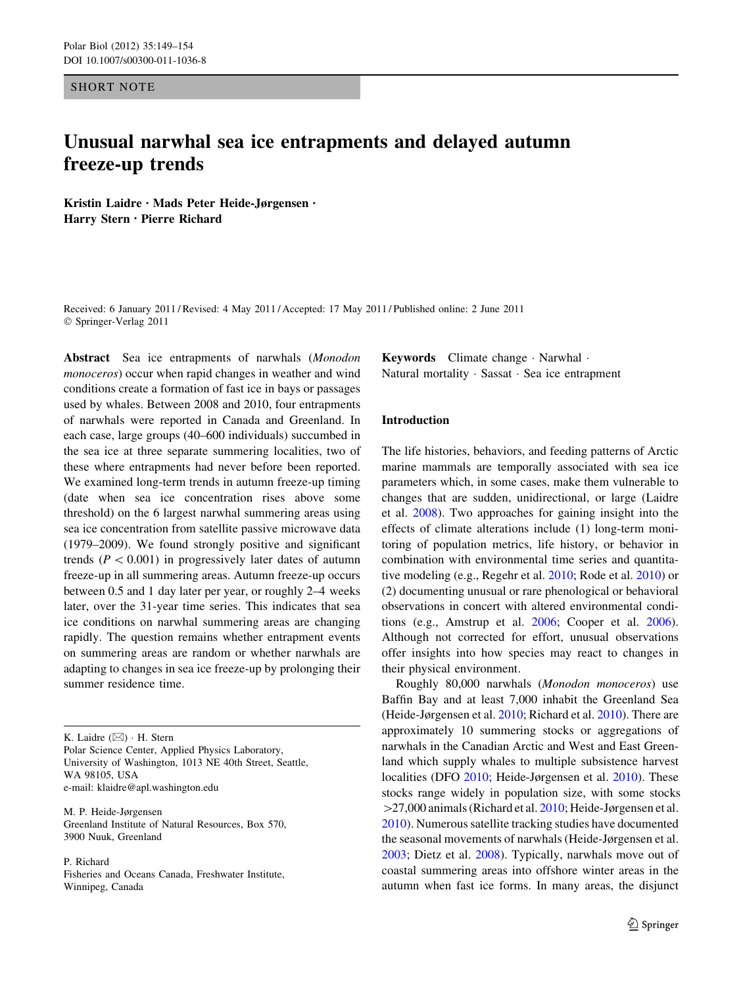## SHORT NOTE

# Unusual narwhal sea ice entrapments and delayed autumn freeze-up trends

Kristin Laidre • Mads Peter Heide-Jørgensen • Harry Stern • Pierre Richard

Received: 6 January 2011 / Revised: 4 May 2011 / Accepted: 17 May 2011 / Published online: 2 June 2011 © Springer-Verlag 2011

Abstract Sea ice entrapments of narwhals (Monodon monoceros) occur when rapid changes in weather and wind conditions create a formation of fast ice in bays or passages used by whales. Between 2008 and 2010, four entrapments of narwhals were reported in Canada and Greenland. In each case, large groups (40–600 individuals) succumbed in the sea ice at three separate summering localities, two of these where entrapments had never before been reported. We examined long-term trends in autumn freeze-up timing (date when sea ice concentration rises above some threshold) on the 6 largest narwhal summering areas using sea ice concentration from satellite passive microwave data (1979–2009). We found strongly positive and significant trends ( $P < 0.001$ ) in progressively later dates of autumn freeze-up in all summering areas. Autumn freeze-up occurs between 0.5 and 1 day later per year, or roughly 2–4 weeks later, over the 31-year time series. This indicates that sea ice conditions on narwhal summering areas are changing rapidly. The question remains whether entrapment events on summering areas are random or whether narwhals are adapting to changes in sea ice freeze-up by prolonging their summer residence time.

K. Laidre  $(\boxtimes) \cdot$  H. Stern

Polar Science Center, Applied Physics Laboratory, University of Washington, 1013 NE 40th Street, Seattle, WA 98105, USA e-mail: klaidre@apl.washington.edu

M. P. Heide-Jørgensen Greenland Institute of Natural Resources, Box 570, 3900 Nuuk, Greenland

P. Richard

Fisheries and Oceans Canada, Freshwater Institute, Winnipeg, Canada

Keywords Climate change · Narwhal · Natural mortality · Sassat · Sea ice entrapment

#### Introduction

The life histories, behaviors, and feeding patterns of Arctic marine mammals are temporally associated with sea ice parameters which, in some cases, make them vulnerable to changes that are sudden, unidirectional, or large (Laidre et al. [2008\)](#page-5-0). Two approaches for gaining insight into the effects of climate alterations include (1) long-term monitoring of population metrics, life history, or behavior in combination with environmental time series and quantitative modeling (e.g., Regehr et al. [2010;](#page-5-0) Rode et al. [2010](#page-5-0)) or (2) documenting unusual or rare phenological or behavioral observations in concert with altered environmental conditions (e.g., Amstrup et al. [2006](#page-4-0); Cooper et al. [2006](#page-4-0)). Although not corrected for effort, unusual observations offer insights into how species may react to changes in their physical environment.

Roughly 80,000 narwhals (Monodon monoceros) use Baffin Bay and at least 7,000 inhabit the Greenland Sea (Heide-Jørgensen et al. [2010;](#page-4-0) Richard et al. [2010\)](#page-5-0). There are approximately 10 summering stocks or aggregations of narwhals in the Canadian Arctic and West and East Greenland which supply whales to multiple subsistence harvest localities (DFO [2010;](#page-4-0) Heide-Jørgensen et al. [2010](#page-4-0)). These stocks range widely in population size, with some stocks [27,000 animals (Richard et al. [2010;](#page-5-0) Heide-Jørgensen et al. [2010](#page-4-0)). Numerous satellite tracking studies have documented the seasonal movements of narwhals (Heide-Jørgensen et al. [2003](#page-4-0); Dietz et al. [2008](#page-4-0)). Typically, narwhals move out of coastal summering areas into offshore winter areas in the autumn when fast ice forms. In many areas, the disjunct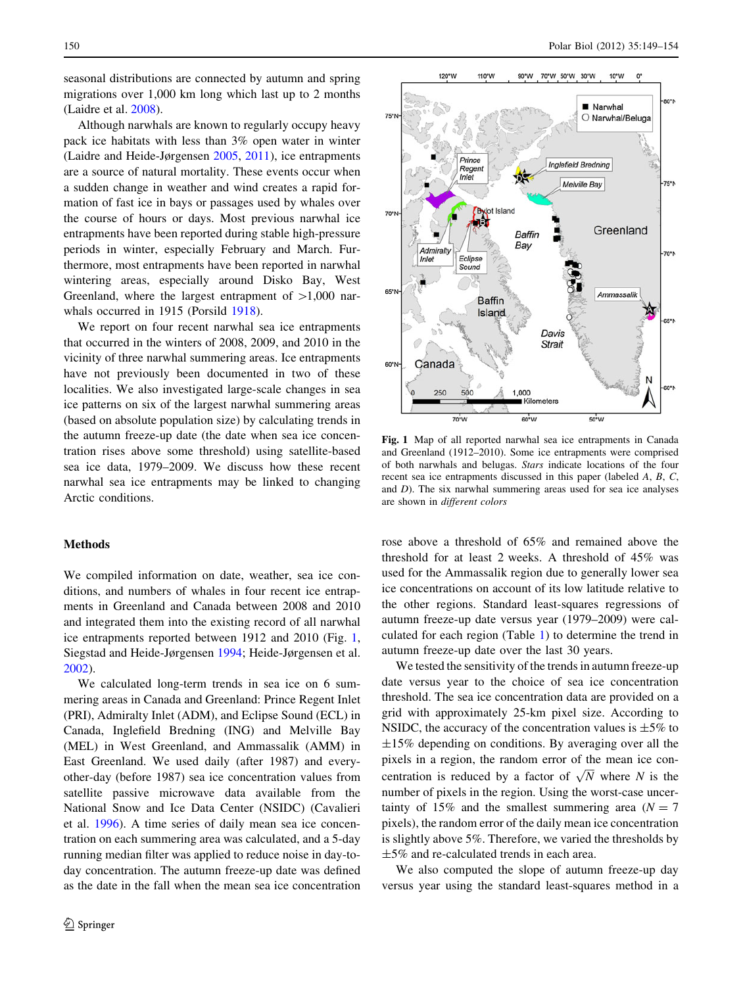<span id="page-1-0"></span>seasonal distributions are connected by autumn and spring migrations over 1,000 km long which last up to 2 months (Laidre et al. [2008](#page-5-0)).

Although narwhals are known to regularly occupy heavy pack ice habitats with less than 3% open water in winter (Laidre and Heide-Jørgensen [2005](#page-5-0), [2011\)](#page-5-0), ice entrapments are a source of natural mortality. These events occur when a sudden change in weather and wind creates a rapid formation of fast ice in bays or passages used by whales over the course of hours or days. Most previous narwhal ice entrapments have been reported during stable high-pressure periods in winter, especially February and March. Furthermore, most entrapments have been reported in narwhal wintering areas, especially around Disko Bay, West Greenland, where the largest entrapment of  $>1,000$  narwhals occurred in 1915 (Porsild [1918](#page-5-0)).

We report on four recent narwhal sea ice entrapments that occurred in the winters of 2008, 2009, and 2010 in the vicinity of three narwhal summering areas. Ice entrapments have not previously been documented in two of these localities. We also investigated large-scale changes in sea ice patterns on six of the largest narwhal summering areas (based on absolute population size) by calculating trends in the autumn freeze-up date (the date when sea ice concentration rises above some threshold) using satellite-based sea ice data, 1979–2009. We discuss how these recent narwhal sea ice entrapments may be linked to changing Arctic conditions.

#### Methods

We compiled information on date, weather, sea ice conditions, and numbers of whales in four recent ice entrapments in Greenland and Canada between 2008 and 2010 and integrated them into the existing record of all narwhal ice entrapments reported between 1912 and 2010 (Fig. 1, Siegstad and Heide-Jørgensen [1994](#page-5-0); Heide-Jørgensen et al. [2002\)](#page-4-0).

We calculated long-term trends in sea ice on 6 summering areas in Canada and Greenland: Prince Regent Inlet (PRI), Admiralty Inlet (ADM), and Eclipse Sound (ECL) in Canada, Inglefield Bredning (ING) and Melville Bay (MEL) in West Greenland, and Ammassalik (AMM) in East Greenland. We used daily (after 1987) and everyother-day (before 1987) sea ice concentration values from satellite passive microwave data available from the National Snow and Ice Data Center (NSIDC) (Cavalieri et al. [1996\)](#page-4-0). A time series of daily mean sea ice concentration on each summering area was calculated, and a 5-day running median filter was applied to reduce noise in day-today concentration. The autumn freeze-up date was defined as the date in the fall when the mean sea ice concentration



Fig. 1 Map of all reported narwhal sea ice entrapments in Canada and Greenland (1912–2010). Some ice entrapments were comprised of both narwhals and belugas. Stars indicate locations of the four recent sea ice entrapments discussed in this paper (labeled A, B, C, and D). The six narwhal summering areas used for sea ice analyses are shown in different colors

rose above a threshold of 65% and remained above the threshold for at least 2 weeks. A threshold of 45% was used for the Ammassalik region due to generally lower sea ice concentrations on account of its low latitude relative to the other regions. Standard least-squares regressions of autumn freeze-up date versus year (1979–2009) were calculated for each region (Table [1](#page-2-0)) to determine the trend in autumn freeze-up date over the last 30 years.

We tested the sensitivity of the trends in autumn freeze-up date versus year to the choice of sea ice concentration threshold. The sea ice concentration data are provided on a grid with approximately 25-km pixel size. According to NSIDC, the accuracy of the concentration values is  $\pm 5\%$  to  $\pm 15\%$  depending on conditions. By averaging over all the pixels in a region, the random error of the mean ice concentration is reduced by a factor of  $\sqrt{N}$  where N is the number of pixels in the region. Using the worst-case uncertainty of 15% and the smallest summering area  $(N = 7)$ pixels), the random error of the daily mean ice concentration is slightly above 5%. Therefore, we varied the thresholds by ±5% and re-calculated trends in each area.

We also computed the slope of autumn freeze-up day versus year using the standard least-squares method in a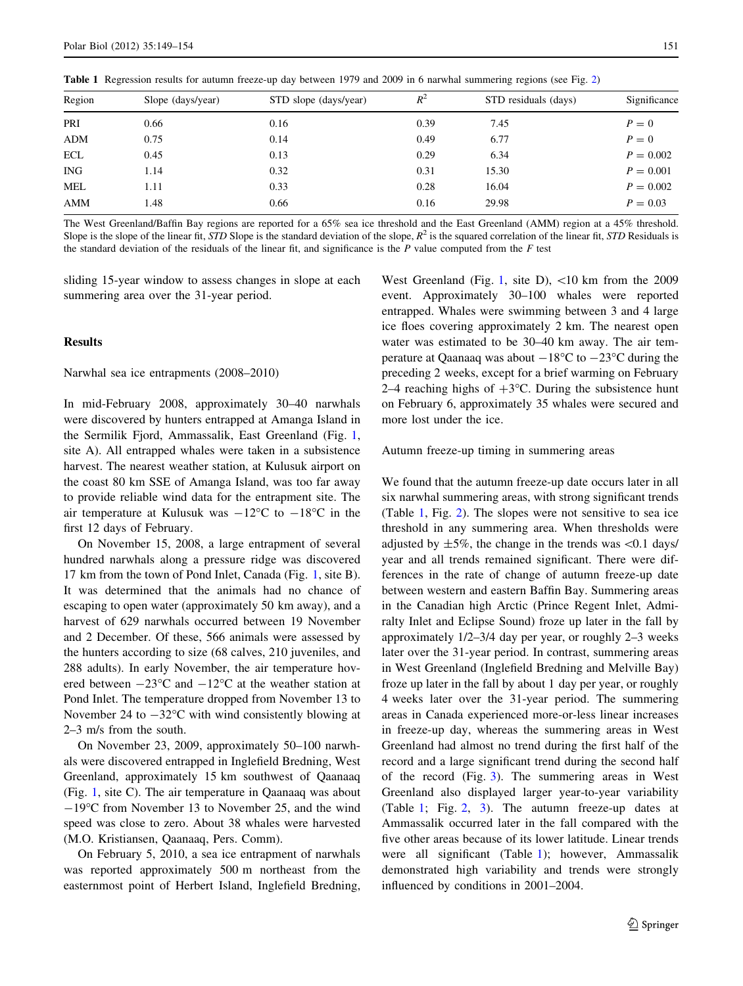<span id="page-2-0"></span>Table 1 Regression results for autumn freeze-up day between 1979 and 2009 in 6 narwhal summering regions (see Fig. [2\)](#page-3-0)

| Region     | Slope (days/year) | STD slope (days/year) | $R^2$ | STD residuals (days) | Significance |
|------------|-------------------|-----------------------|-------|----------------------|--------------|
| PRI        | 0.66              | 0.16                  | 0.39  | 7.45                 | $P=0$        |
| ADM        | 0.75              | 0.14                  | 0.49  | 6.77                 | $P=0$        |
| <b>ECL</b> | 0.45              | 0.13                  | 0.29  | 6.34                 | $P = 0.002$  |
| <b>ING</b> | 1.14              | 0.32                  | 0.31  | 15.30                | $P = 0.001$  |
| <b>MEL</b> | 1.11              | 0.33                  | 0.28  | 16.04                | $P = 0.002$  |
| AMM        | 1.48              | 0.66                  | 0.16  | 29.98                | $P = 0.03$   |

The West Greenland/Baffin Bay regions are reported for a 65% sea ice threshold and the East Greenland (AMM) region at a 45% threshold. Slope is the slope of the linear fit, STD Slope is the standard deviation of the slope,  $R^2$  is the squared correlation of the linear fit, STD Residuals is the standard deviation of the residuals of the linear fit, and significance is the  $P$  value computed from the  $F$  test

sliding 15-year window to assess changes in slope at each summering area over the 31-year period.

## **Results**

Narwhal sea ice entrapments (2008–2010)

In mid-February 2008, approximately 30–40 narwhals were discovered by hunters entrapped at Amanga Island in the Sermilik Fjord, Ammassalik, East Greenland (Fig. [1,](#page-1-0) site A). All entrapped whales were taken in a subsistence harvest. The nearest weather station, at Kulusuk airport on the coast 80 km SSE of Amanga Island, was too far away to provide reliable wind data for the entrapment site. The air temperature at Kulusuk was  $-12^{\circ}\text{C}$  to  $-18^{\circ}\text{C}$  in the first 12 days of February.

On November 15, 2008, a large entrapment of several hundred narwhals along a pressure ridge was discovered 17 km from the town of Pond Inlet, Canada (Fig. [1](#page-1-0), site B). It was determined that the animals had no chance of escaping to open water (approximately 50 km away), and a harvest of 629 narwhals occurred between 19 November and 2 December. Of these, 566 animals were assessed by the hunters according to size (68 calves, 210 juveniles, and 288 adults). In early November, the air temperature hovered between  $-23^{\circ}$ C and  $-12^{\circ}$ C at the weather station at Pond Inlet. The temperature dropped from November 13 to November 24 to  $-32^{\circ}$ C with wind consistently blowing at 2–3 m/s from the south.

On November 23, 2009, approximately 50–100 narwhals were discovered entrapped in Inglefield Bredning, West Greenland, approximately 15 km southwest of Qaanaaq (Fig. [1](#page-1-0), site C). The air temperature in Qaanaaq was about  $-19^{\circ}$ C from November 13 to November 25, and the wind speed was close to zero. About 38 whales were harvested (M.O. Kristiansen, Qaanaaq, Pers. Comm).

On February 5, 2010, a sea ice entrapment of narwhals was reported approximately 500 m northeast from the easternmost point of Herbert Island, Inglefield Bredning,

West Greenland (Fig. [1,](#page-1-0) site D),  $\langle 10 \text{ km from the } 2009 \rangle$ event. Approximately 30–100 whales were reported entrapped. Whales were swimming between 3 and 4 large ice floes covering approximately 2 km. The nearest open water was estimated to be 30–40 km away. The air temperature at Qaanaaq was about  $-18^{\circ}$ C to  $-23^{\circ}$ C during the preceding 2 weeks, except for a brief warming on February 2–4 reaching highs of  $+3^{\circ}$ C. During the subsistence hunt on February 6, approximately 35 whales were secured and more lost under the ice.

#### Autumn freeze-up timing in summering areas

We found that the autumn freeze-up date occurs later in all six narwhal summering areas, with strong significant trends (Table 1, Fig. [2\)](#page-3-0). The slopes were not sensitive to sea ice threshold in any summering area. When thresholds were adjusted by  $\pm 5\%$ , the change in the trends was <0.1 days/ year and all trends remained significant. There were differences in the rate of change of autumn freeze-up date between western and eastern Baffin Bay. Summering areas in the Canadian high Arctic (Prince Regent Inlet, Admiralty Inlet and Eclipse Sound) froze up later in the fall by approximately 1/2–3/4 day per year, or roughly 2–3 weeks later over the 31-year period. In contrast, summering areas in West Greenland (Inglefield Bredning and Melville Bay) froze up later in the fall by about 1 day per year, or roughly 4 weeks later over the 31-year period. The summering areas in Canada experienced more-or-less linear increases in freeze-up day, whereas the summering areas in West Greenland had almost no trend during the first half of the record and a large significant trend during the second half of the record (Fig. [3](#page-4-0)). The summering areas in West Greenland also displayed larger year-to-year variability (Table 1; Fig. [2,](#page-3-0) [3\)](#page-4-0). The autumn freeze-up dates at Ammassalik occurred later in the fall compared with the five other areas because of its lower latitude. Linear trends were all significant (Table 1); however, Ammassalik demonstrated high variability and trends were strongly influenced by conditions in 2001–2004.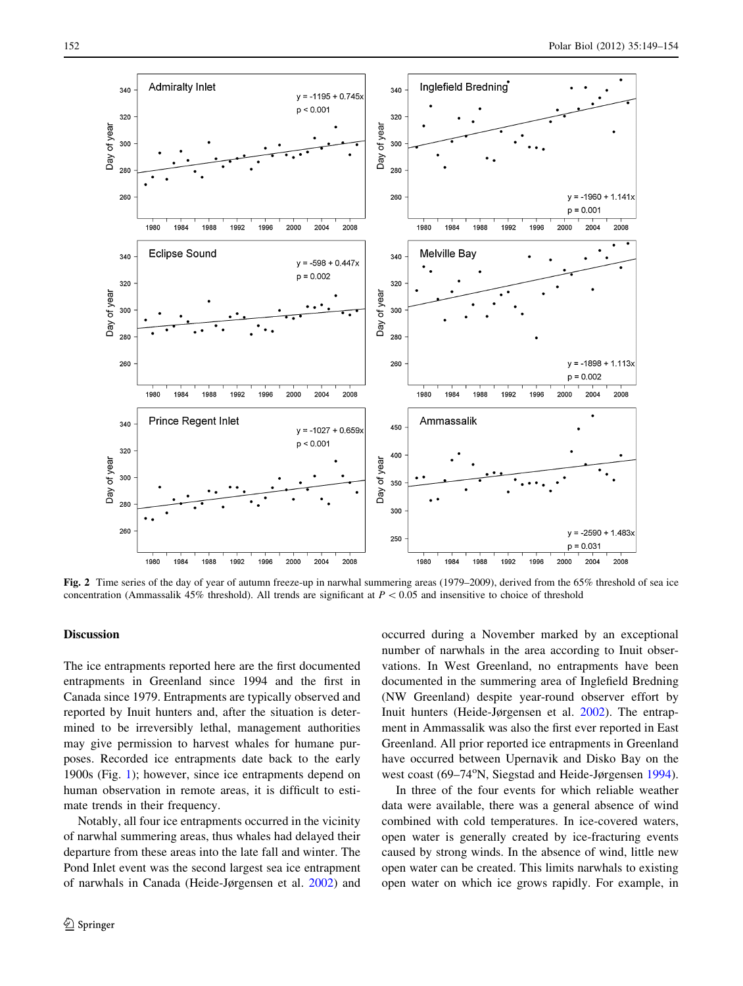<span id="page-3-0"></span>

Fig. 2 Time series of the day of year of autumn freeze-up in narwhal summering areas (1979–2009), derived from the 65% threshold of sea ice concentration (Ammassalik 45% threshold). All trends are significant at  $P < 0.05$  and insensitive to choice of threshold

## **Discussion**

The ice entrapments reported here are the first documented entrapments in Greenland since 1994 and the first in Canada since 1979. Entrapments are typically observed and reported by Inuit hunters and, after the situation is determined to be irreversibly lethal, management authorities may give permission to harvest whales for humane purposes. Recorded ice entrapments date back to the early 1900s (Fig. [1\)](#page-1-0); however, since ice entrapments depend on human observation in remote areas, it is difficult to estimate trends in their frequency.

Notably, all four ice entrapments occurred in the vicinity of narwhal summering areas, thus whales had delayed their departure from these areas into the late fall and winter. The Pond Inlet event was the second largest sea ice entrapment of narwhals in Canada (Heide-Jørgensen et al. [2002\)](#page-4-0) and occurred during a November marked by an exceptional number of narwhals in the area according to Inuit observations. In West Greenland, no entrapments have been documented in the summering area of Inglefield Bredning (NW Greenland) despite year-round observer effort by Inuit hunters (Heide-Jørgensen et al. [2002](#page-4-0)). The entrapment in Ammassalik was also the first ever reported in East Greenland. All prior reported ice entrapments in Greenland have occurred between Upernavik and Disko Bay on the west coast (69-74°N, Siegstad and Heide-Jørgensen [1994](#page-5-0)).

In three of the four events for which reliable weather data were available, there was a general absence of wind combined with cold temperatures. In ice-covered waters, open water is generally created by ice-fracturing events caused by strong winds. In the absence of wind, little new open water can be created. This limits narwhals to existing open water on which ice grows rapidly. For example, in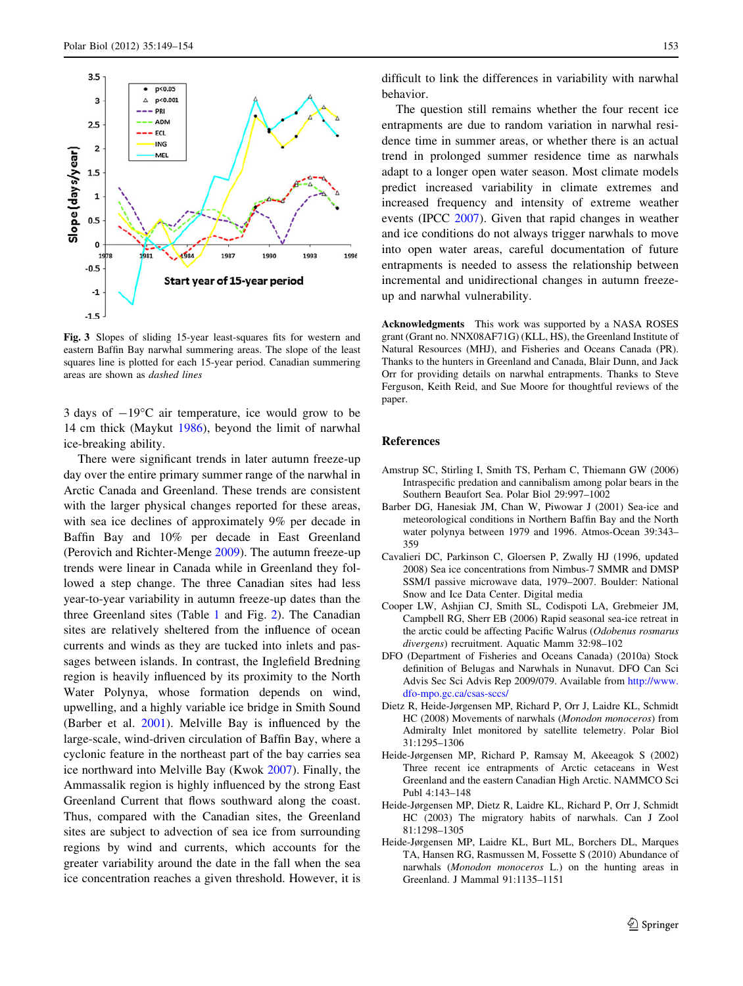<span id="page-4-0"></span>

Fig. 3 Slopes of sliding 15-year least-squares fits for western and eastern Baffin Bay narwhal summering areas. The slope of the least squares line is plotted for each 15-year period. Canadian summering areas are shown as dashed lines

3 days of  $-19^{\circ}$ C air temperature, ice would grow to be 14 cm thick (Maykut [1986\)](#page-5-0), beyond the limit of narwhal ice-breaking ability.

There were significant trends in later autumn freeze-up day over the entire primary summer range of the narwhal in Arctic Canada and Greenland. These trends are consistent with the larger physical changes reported for these areas, with sea ice declines of approximately 9% per decade in Baffin Bay and 10% per decade in East Greenland (Perovich and Richter-Menge [2009](#page-5-0)). The autumn freeze-up trends were linear in Canada while in Greenland they followed a step change. The three Canadian sites had less year-to-year variability in autumn freeze-up dates than the three Greenland sites (Table [1](#page-2-0) and Fig. [2](#page-3-0)). The Canadian sites are relatively sheltered from the influence of ocean currents and winds as they are tucked into inlets and passages between islands. In contrast, the Inglefield Bredning region is heavily influenced by its proximity to the North Water Polynya, whose formation depends on wind, upwelling, and a highly variable ice bridge in Smith Sound (Barber et al. 2001). Melville Bay is influenced by the large-scale, wind-driven circulation of Baffin Bay, where a cyclonic feature in the northeast part of the bay carries sea ice northward into Melville Bay (Kwok [2007](#page-5-0)). Finally, the Ammassalik region is highly influenced by the strong East Greenland Current that flows southward along the coast. Thus, compared with the Canadian sites, the Greenland sites are subject to advection of sea ice from surrounding regions by wind and currents, which accounts for the greater variability around the date in the fall when the sea ice concentration reaches a given threshold. However, it is

difficult to link the differences in variability with narwhal behavior.

The question still remains whether the four recent ice entrapments are due to random variation in narwhal residence time in summer areas, or whether there is an actual trend in prolonged summer residence time as narwhals adapt to a longer open water season. Most climate models predict increased variability in climate extremes and increased frequency and intensity of extreme weather events (IPCC [2007](#page-5-0)). Given that rapid changes in weather and ice conditions do not always trigger narwhals to move into open water areas, careful documentation of future entrapments is needed to assess the relationship between incremental and unidirectional changes in autumn freezeup and narwhal vulnerability.

Acknowledgments This work was supported by a NASA ROSES grant (Grant no. NNX08AF71G) (KLL, HS), the Greenland Institute of Natural Resources (MHJ), and Fisheries and Oceans Canada (PR). Thanks to the hunters in Greenland and Canada, Blair Dunn, and Jack Orr for providing details on narwhal entrapments. Thanks to Steve Ferguson, Keith Reid, and Sue Moore for thoughtful reviews of the paper.

## References

- Amstrup SC, Stirling I, Smith TS, Perham C, Thiemann GW (2006) Intraspecific predation and cannibalism among polar bears in the Southern Beaufort Sea. Polar Biol 29:997–1002
- Barber DG, Hanesiak JM, Chan W, Piwowar J (2001) Sea-ice and meteorological conditions in Northern Baffin Bay and the North water polynya between 1979 and 1996. Atmos-Ocean 39:343– 359
- Cavalieri DC, Parkinson C, Gloersen P, Zwally HJ (1996, updated 2008) Sea ice concentrations from Nimbus-7 SMMR and DMSP SSM/I passive microwave data, 1979–2007. Boulder: National Snow and Ice Data Center. Digital media
- Cooper LW, Ashjian CJ, Smith SL, Codispoti LA, Grebmeier JM, Campbell RG, Sherr EB (2006) Rapid seasonal sea-ice retreat in the arctic could be affecting Pacific Walrus (Odobenus rosmarus divergens) recruitment. Aquatic Mamm 32:98–102
- DFO (Department of Fisheries and Oceans Canada) (2010a) Stock definition of Belugas and Narwhals in Nunavut. DFO Can Sci Advis Sec Sci Advis Rep 2009/079. Available from [http://www.](http://www.dfo-mpo.gc.ca/csas-sccs/) [dfo-mpo.gc.ca/csas-sccs/](http://www.dfo-mpo.gc.ca/csas-sccs/)
- Dietz R, Heide-Jørgensen MP, Richard P, Orr J, Laidre KL, Schmidt HC (2008) Movements of narwhals (Monodon monoceros) from Admiralty Inlet monitored by satellite telemetry. Polar Biol 31:1295–1306
- Heide-Jørgensen MP, Richard P, Ramsay M, Akeeagok S (2002) Three recent ice entrapments of Arctic cetaceans in West Greenland and the eastern Canadian High Arctic. NAMMCO Sci Publ 4:143–148
- Heide-Jørgensen MP, Dietz R, Laidre KL, Richard P, Orr J, Schmidt HC (2003) The migratory habits of narwhals. Can J Zool 81:1298–1305
- Heide-Jørgensen MP, Laidre KL, Burt ML, Borchers DL, Marques TA, Hansen RG, Rasmussen M, Fossette S (2010) Abundance of narwhals (Monodon monoceros L.) on the hunting areas in Greenland. J Mammal 91:1135–1151